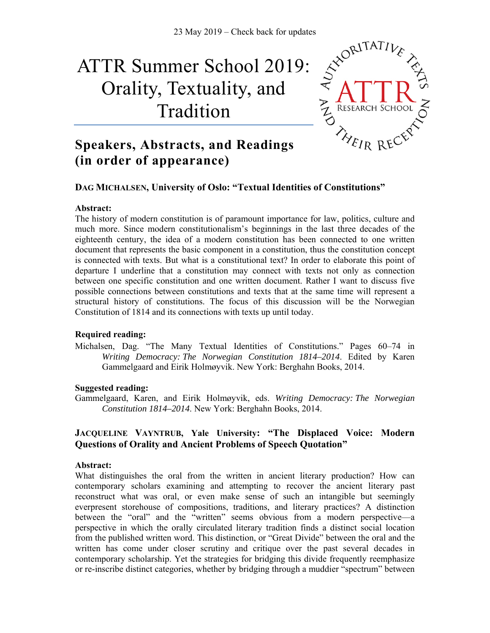# 23 May 2019 – Check back for updates<br>
mer School 2019 ·  $\sqrt{x}$ ORITATI ATTR Summer School 2019: Orality, Textuality, and Tradition



# **Speakers, Abstracts, and Readings (in order of appearance)**

# **DAG MICHALSEN, University of Oslo: "Textual Identities of Constitutions"**

#### **Abstract:**

The history of modern constitution is of paramount importance for law, politics, culture and much more. Since modern constitutionalism's beginnings in the last three decades of the eighteenth century, the idea of a modern constitution has been connected to one written document that represents the basic component in a constitution, thus the constitution concept is connected with texts. But what is a constitutional text? In order to elaborate this point of departure I underline that a constitution may connect with texts not only as connection between one specific constitution and one written document. Rather I want to discuss five possible connections between constitutions and texts that at the same time will represent a structural history of constitutions. The focus of this discussion will be the Norwegian Constitution of 1814 and its connections with texts up until today.

#### **Required reading:**

Michalsen, Dag. "The Many Textual Identities of Constitutions." Pages 60–74 in *Writing Democracy: The Norwegian Constitution 1814–2014*. Edited by Karen Gammelgaard and Eirik Holmøyvik. New York: Berghahn Books, 2014.

#### **Suggested reading:**

Gammelgaard, Karen, and Eirik Holmøyvik, eds. *Writing Democracy: The Norwegian Constitution 1814–2014*. New York: Berghahn Books, 2014.

#### **JACQUELINE VAYNTRUB, Yale University: "The Displaced Voice: Modern Questions of Orality and Ancient Problems of Speech Quotation"**

#### **Abstract:**

What distinguishes the oral from the written in ancient literary production? How can contemporary scholars examining and attempting to recover the ancient literary past reconstruct what was oral, or even make sense of such an intangible but seemingly everpresent storehouse of compositions, traditions, and literary practices? A distinction between the "oral" and the "written" seems obvious from a modern perspective—a perspective in which the orally circulated literary tradition finds a distinct social location from the published written word. This distinction, or "Great Divide" between the oral and the written has come under closer scrutiny and critique over the past several decades in contemporary scholarship. Yet the strategies for bridging this divide frequently reemphasize or re-inscribe distinct categories, whether by bridging through a muddier "spectrum" between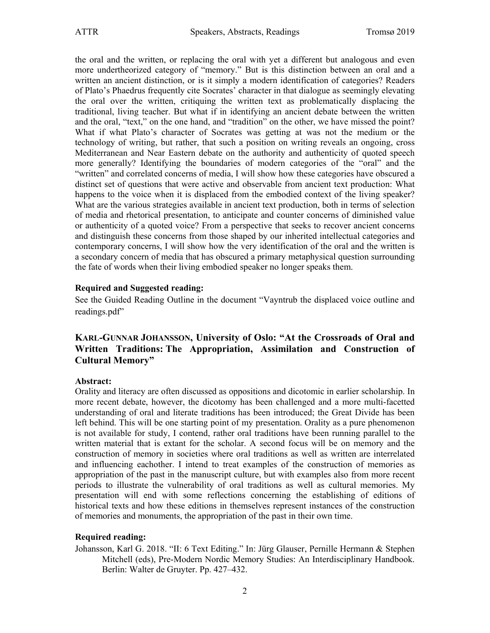the oral and the written, or replacing the oral with yet a different but analogous and even more undertheorized category of "memory." But is this distinction between an oral and a written an ancient distinction, or is it simply a modern identification of categories? Readers of Plato's Phaedrus frequently cite Socrates' character in that dialogue as seemingly elevating the oral over the written, critiquing the written text as problematically displacing the traditional, living teacher. But what if in identifying an ancient debate between the written and the oral, "text," on the one hand, and "tradition" on the other, we have missed the point? What if what Plato's character of Socrates was getting at was not the medium or the technology of writing, but rather, that such a position on writing reveals an ongoing, cross Mediterranean and Near Eastern debate on the authority and authenticity of quoted speech more generally? Identifying the boundaries of modern categories of the "oral" and the "written" and correlated concerns of media, I will show how these categories have obscured a distinct set of questions that were active and observable from ancient text production: What happens to the voice when it is displaced from the embodied context of the living speaker? What are the various strategies available in ancient text production, both in terms of selection of media and rhetorical presentation, to anticipate and counter concerns of diminished value or authenticity of a quoted voice? From a perspective that seeks to recover ancient concerns and distinguish these concerns from those shaped by our inherited intellectual categories and contemporary concerns, I will show how the very identification of the oral and the written is a secondary concern of media that has obscured a primary metaphysical question surrounding the fate of words when their living embodied speaker no longer speaks them.

#### **Required and Suggested reading:**

See the Guided Reading Outline in the document "Vayntrub the displaced voice outline and readings.pdf"

# **KARL-GUNNAR JOHANSSON, University of Oslo: "At the Crossroads of Oral and Written Traditions: The Appropriation, Assimilation and Construction of Cultural Memory"**

#### **Abstract:**

Orality and literacy are often discussed as oppositions and dicotomic in earlier scholarship. In more recent debate, however, the dicotomy has been challenged and a more multi-facetted understanding of oral and literate traditions has been introduced; the Great Divide has been left behind. This will be one starting point of my presentation. Orality as a pure phenomenon is not available for study, I contend, rather oral traditions have been running parallel to the written material that is extant for the scholar. A second focus will be on memory and the construction of memory in societies where oral traditions as well as written are interrelated and influencing eachother. I intend to treat examples of the construction of memories as appropriation of the past in the manuscript culture, but with examples also from more recent periods to illustrate the vulnerability of oral traditions as well as cultural memories. My presentation will end with some reflections concerning the establishing of editions of historical texts and how these editions in themselves represent instances of the construction of memories and monuments, the appropriation of the past in their own time.

#### **Required reading:**

Johansson, Karl G. 2018. "II: 6 Text Editing." In: Jürg Glauser, Pernille Hermann & Stephen Mitchell (eds), Pre-Modern Nordic Memory Studies: An Interdisciplinary Handbook. Berlin: Walter de Gruyter. Pp. 427–432.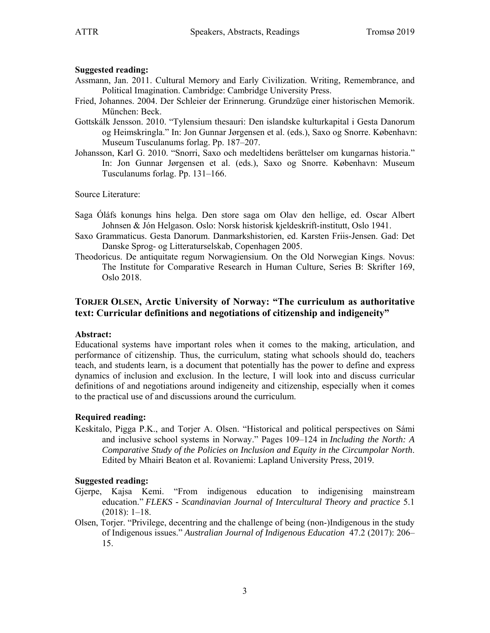#### **Suggested reading:**

- Assmann, Jan. 2011. Cultural Memory and Early Civilization. Writing, Remembrance, and Political Imagination. Cambridge: Cambridge University Press.
- Fried, Johannes. 2004. Der Schleier der Erinnerung. Grundzüge einer historischen Memorik. München: Beck.
- Gottskálk Jensson. 2010. "Tylensium thesauri: Den islandske kulturkapital i Gesta Danorum og Heimskringla." In: Jon Gunnar Jørgensen et al. (eds.), Saxo og Snorre. København: Museum Tusculanums forlag. Pp. 187–207.
- Johansson, Karl G. 2010. "Snorri, Saxo och medeltidens berättelser om kungarnas historia." In: Jon Gunnar Jørgensen et al. (eds.), Saxo og Snorre. København: Museum Tusculanums forlag. Pp. 131–166.

Source Literature:

- Saga Óláfs konungs hins helga. Den store saga om Olav den hellige, ed. Oscar Albert Johnsen & Jón Helgason. Oslo: Norsk historisk kjeldeskrift-institutt, Oslo 1941.
- Saxo Grammaticus. Gesta Danorum. Danmarkshistorien, ed. Karsten Friis-Jensen. Gad: Det Danske Sprog- og Litteraturselskab, Copenhagen 2005.
- Theodoricus. De antiquitate regum Norwagiensium. On the Old Norwegian Kings. Novus: The Institute for Comparative Research in Human Culture, Series B: Skrifter 169, Oslo 2018.

# **TORJER OLSEN, Arctic University of Norway: "The curriculum as authoritative text: Curricular definitions and negotiations of citizenship and indigeneity"**

#### **Abstract:**

Educational systems have important roles when it comes to the making, articulation, and performance of citizenship. Thus, the curriculum, stating what schools should do, teachers teach, and students learn, is a document that potentially has the power to define and express dynamics of inclusion and exclusion. In the lecture, I will look into and discuss curricular definitions of and negotiations around indigeneity and citizenship, especially when it comes to the practical use of and discussions around the curriculum.

#### **Required reading:**

Keskitalo, Pigga P.K., and Torjer A. Olsen. "Historical and political perspectives on Sámi and inclusive school systems in Norway." Pages 109–124 in *Including the North: A Comparative Study of the Policies on Inclusion and Equity in the Circumpolar North*. Edited by Mhairi Beaton et al. Rovaniemi: Lapland University Press, 2019.

#### **Suggested reading:**

- Gjerpe, Kajsa Kemi. "From indigenous education to indigenising mainstream education." *FLEKS - Scandinavian Journal of Intercultural Theory and practice* 5.1 (2018): 1–18.
- Olsen, Torjer. "Privilege, decentring and the challenge of being (non-)Indigenous in the study of Indigenous issues." *Australian Journal of Indigenous Education* 47.2 (2017): 206– 15.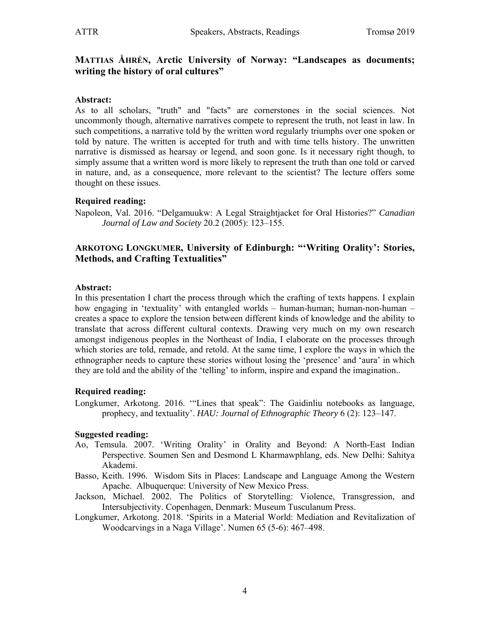## **MATTIAS ÅHRÉN, Arctic University of Norway: "Landscapes as documents; writing the history of oral cultures"**

#### **Abstract:**

As to all scholars, "truth" and "facts" are cornerstones in the social sciences. Not uncommonly though, alternative narratives compete to represent the truth, not least in law. In such competitions, a narrative told by the written word regularly triumphs over one spoken or told by nature. The written is accepted for truth and with time tells history. The unwritten narrative is dismissed as hearsay or legend, and soon gone. Is it necessary right though, to simply assume that a written word is more likely to represent the truth than one told or carved in nature, and, as a consequence, more relevant to the scientist? The lecture offers some thought on these issues.

#### **Required reading:**

Napoleon, Val. 2016. "Delgamuukw: A Legal Straightjacket for Oral Histories?" *Canadian Journal of Law and Society* 20.2 (2005): 123–155.

# **ARKOTONG LONGKUMER, University of Edinburgh: "'Writing Orality': Stories, Methods, and Crafting Textualities"**

#### **Abstract:**

In this presentation I chart the process through which the crafting of texts happens. I explain how engaging in 'textuality' with entangled worlds – human-human; human-non-human – creates a space to explore the tension between different kinds of knowledge and the ability to translate that across different cultural contexts. Drawing very much on my own research amongst indigenous peoples in the Northeast of India, I elaborate on the processes through which stories are told, remade, and retold. At the same time, I explore the ways in which the ethnographer needs to capture these stories without losing the 'presence' and 'aura' in which they are told and the ability of the 'telling' to inform, inspire and expand the imagination..

#### **Required reading:**

Longkumer, Arkotong. 2016. '"Lines that speak": The Gaidinliu notebooks as language, prophecy, and textuality'. *HAU: Journal of Ethnographic Theory* 6 (2): 123–147.

#### **Suggested reading:**

- Ao, Temsula. 2007. 'Writing Orality' in Orality and Beyond: A North-East Indian Perspective. Soumen Sen and Desmond L Kharmawphlang, eds. New Delhi: Sahitya Akademi.
- Basso, Keith. 1996. Wisdom Sits in Places: Landscape and Language Among the Western Apache. Albuquerque: University of New Mexico Press.
- Jackson, Michael. 2002. The Politics of Storytelling: Violence, Transgression, and Intersubjectivity. Copenhagen, Denmark: Museum Tusculanum Press.
- Longkumer, Arkotong. 2018. 'Spirits in a Material World: Mediation and Revitalization of Woodcarvings in a Naga Village'. Numen 65 (5-6): 467–498.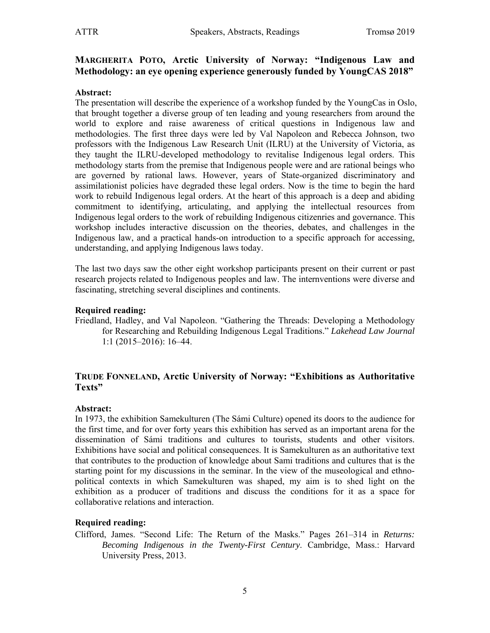# **MARGHERITA POTO, Arctic University of Norway: "Indigenous Law and Methodology: an eye opening experience generously funded by YoungCAS 2018"**

## **Abstract:**

The presentation will describe the experience of a workshop funded by the YoungCas in Oslo, that brought together a diverse group of ten leading and young researchers from around the world to explore and raise awareness of critical questions in Indigenous law and methodologies. The first three days were led by Val Napoleon and Rebecca Johnson, two professors with the Indigenous Law Research Unit (ILRU) at the University of Victoria, as they taught the ILRU-developed methodology to revitalise Indigenous legal orders. This methodology starts from the premise that Indigenous people were and are rational beings who are governed by rational laws. However, years of State-organized discriminatory and assimilationist policies have degraded these legal orders. Now is the time to begin the hard work to rebuild Indigenous legal orders. At the heart of this approach is a deep and abiding commitment to identifying, articulating, and applying the intellectual resources from Indigenous legal orders to the work of rebuilding Indigenous citizenries and governance. This workshop includes interactive discussion on the theories, debates, and challenges in the Indigenous law, and a practical hands-on introduction to a specific approach for accessing, understanding, and applying Indigenous laws today.

The last two days saw the other eight workshop participants present on their current or past research projects related to Indigenous peoples and law. The internventions were diverse and fascinating, stretching several disciplines and continents.

#### **Required reading:**

Friedland, Hadley, and Val Napoleon. "Gathering the Threads: Developing a Methodology for Researching and Rebuilding Indigenous Legal Traditions." *Lakehead Law Journal* 1:1 (2015–2016): 16–44.

# **TRUDE FONNELAND, Arctic University of Norway: "Exhibitions as Authoritative Texts"**

#### **Abstract:**

In 1973, the exhibition Samekulturen (The Sámi Culture) opened its doors to the audience for the first time, and for over forty years this exhibition has served as an important arena for the dissemination of Sámi traditions and cultures to tourists, students and other visitors. Exhibitions have social and political consequences. It is Samekulturen as an authoritative text that contributes to the production of knowledge about Sami traditions and cultures that is the starting point for my discussions in the seminar. In the view of the museological and ethnopolitical contexts in which Samekulturen was shaped, my aim is to shed light on the exhibition as a producer of traditions and discuss the conditions for it as a space for collaborative relations and interaction.

#### **Required reading:**

Clifford, James. "Second Life: The Return of the Masks." Pages 261–314 in *Returns: Becoming Indigenous in the Twenty-First Century*. Cambridge, Mass.: Harvard University Press, 2013.